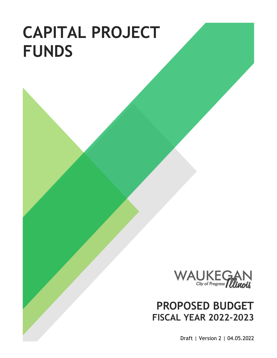# **CAPITAL PROJECT FUNDS**



# **PROPOSED BUDGET FISCAL YEAR 2022-2023**

Draft | Version 2 | 04.05.2022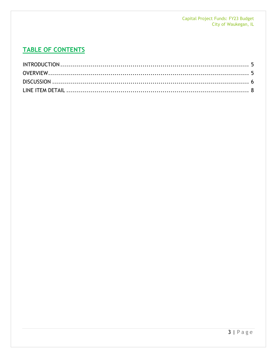# **TABLE OF CONTENTS**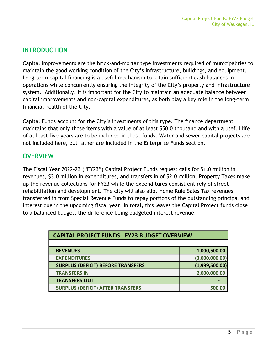### <span id="page-4-0"></span>**INTRODUCTION**

Capital improvements are the brick-and-mortar type investments required of municipalities to maintain the good working condition of the City's infrastructure, buildings, and equipment. Long-term capital financing is a useful mechanism to retain sufficient cash balances in operations while concurrently ensuring the integrity of the City's property and infrastructure system. Additionally, it is important for the City to maintain an adequate balance between capital improvements and non-capital expenditures, as both play a key role in the long-term financial health of the City.

Capital Funds account for the City's investments of this type. The finance department maintains that only those items with a value of at least \$50.0 thousand and with a useful life of at least five-years are to be included in these funds. Water and sewer capital projects are not included here, but rather are included in the Enterprise Funds section.

#### <span id="page-4-1"></span>**OVERVIEW**

The Fiscal Year 2022-23 ("FY23") Capital Project Funds request calls for \$1.0 million in revenues, \$3.0 million in expenditures, and transfers in of \$2.0 million. Property Taxes make up the revenue collections for FY23 while the expenditures consist entirely of street rehabilitation and development. The city will also allot Home Rule Sales Tax revenues transferred in from Special Revenue Funds to repay portions of the outstanding principal and interest due in the upcoming fiscal year. In total, this leaves the Capital Project funds close to a balanced budget, the difference being budgeted interest revenue.

| <b>CAPITAL PROJECT FUNDS - FY23 BUDGET OVERVIEW</b> |                |  |  |  |  |
|-----------------------------------------------------|----------------|--|--|--|--|
|                                                     |                |  |  |  |  |
| <b>REVENUES</b>                                     | 1,000,500.00   |  |  |  |  |
| <b>EXPENDITURES</b>                                 | (3,000,000.00) |  |  |  |  |
| <b>SURPLUS (DEFICIT) BEFORE TRANSFERS</b>           | (1,999,500.00) |  |  |  |  |
| <b>TRANSFERS IN</b>                                 | 2,000,000.00   |  |  |  |  |
| <b>TRANSFERS OUT</b>                                |                |  |  |  |  |
| <b>SURPLUS (DEFICIT) AFTER TRANSFERS</b>            | 500.00         |  |  |  |  |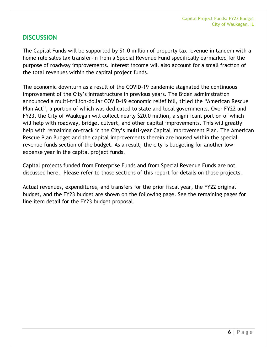#### <span id="page-5-0"></span>**DISCUSSION**

The Capital Funds will be supported by \$1.0 million of property tax revenue in tandem with a home rule sales tax transfer-in from a Special Revenue Fund specifically earmarked for the purpose of roadway improvements. Interest income will also account for a small fraction of the total revenues within the capital project funds.

The economic downturn as a result of the COVID-19 pandemic stagnated the continuous improvement of the City's infrastructure in previous years. The Biden administration announced a multi-trillion-dollar COVID-19 economic relief bill, titled the "American Rescue Plan Act", a portion of which was dedicated to state and local governments. Over FY22 and FY23, the City of Waukegan will collect nearly \$20.0 million, a significant portion of which will help with roadway, bridge, culvert, and other capital improvements. This will greatly help with remaining on-track in the City's multi-year Capital Improvement Plan. The American Rescue Plan Budget and the capital improvements therein are housed within the special revenue funds section of the budget. As a result, the city is budgeting for another lowexpense year in the capital project funds.

Capital projects funded from Enterprise Funds and from Special Revenue Funds are not discussed here. Please refer to those sections of this report for details on those projects.

Actual revenues, expenditures, and transfers for the prior fiscal year, the FY22 original budget, and the FY23 budget are shown on the following page. See the remaining pages for line item detail for the FY23 budget proposal.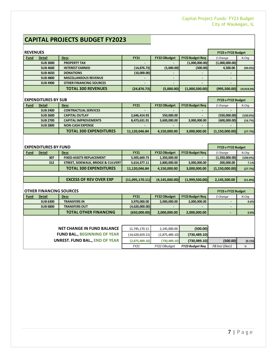# **CAPITAL PROJECTS BUDGET FY2023**

| <b>REVENUES</b> | FY23 v FY22 Budget |                                |              |                     |                          |                          |           |
|-----------------|--------------------|--------------------------------|--------------|---------------------|--------------------------|--------------------------|-----------|
| <b>Fund</b>     | <b>Detail</b>      | <b>Desc</b>                    | <b>FY21</b>  | <b>FY22 OBudget</b> | <b>FY23 Budget Req</b>   | \$ Change                | $%$ Chq   |
|                 | <b>SUB 3000</b>    | <b>PROPERTY TAX</b>            |              |                     | (1,000,000.00)           | (1,000,000.00)           |           |
|                 | <b>SUB 4600</b>    | <b>INTEREST EARNED</b>         | (14, 876.73) | (5,000.00)          | (500.00)                 | 4,500.00                 | (90.0%)   |
|                 | <b>SUB 4650</b>    | <b>DONATIONS</b>               | (10,000.00)  | $\sim$              | ٠                        | $\overline{\phantom{a}}$ |           |
|                 | <b>SUB 4800</b>    | <b>MISCELLANEOUS REVENUE</b>   | -            |                     | $\overline{\phantom{a}}$ | $\overline{\phantom{0}}$ |           |
|                 | <b>SUB 4900</b>    | <b>OTHER FINANCING SOURCES</b> | -            |                     |                          |                          |           |
|                 |                    | <b>TOTAL 300 REVENUES</b>      | (24, 876.73) | (5,000.00)          | (1,000,500.00)           | (995, 500.00)            | 19,910.0% |
|                 |                    |                                |              |                     |                          |                          |           |

| <b>EXPENDITURES BY SUB</b> | FY23 v FY22 Budget |                               |               |                     |                        |                |             |
|----------------------------|--------------------|-------------------------------|---------------|---------------------|------------------------|----------------|-------------|
| <u>Fund</u>                | Detail             | <b>Desc</b>                   | <b>FY21</b>   | <b>FY22 OBudget</b> | <b>FY23 Budget Req</b> | \$ Change      | $%$ Chq     |
|                            | <b>SUB 2400</b>    | <b>CONTRACTUAL SERVICES</b>   |               |                     |                        |                |             |
|                            | <b>SUB 2600</b>    | <b>CAPITAL OUTLAY</b>         | 2,646,414.93  | 550,000.00          |                        | (550,000.00)   | $(100.0\%)$ |
|                            | <b>SUB 2700</b>    | <b>CAPITAL IMPROVEMENTS</b>   | 8,473,631.91  | 3,600,000.00        | 3,000,000.00           | (600,000.00)   | (16.7%)     |
|                            | <b>SUB 2800</b>    | <b>NON-CASH EXPENSE</b>       |               |                     |                        |                |             |
|                            |                    | <b>TOTAL 300 EXPENDITURES</b> | 11,120,046.84 | 4,150,000.00        | 3,000,000.00           | (1,150,000.00) | (27.7%)     |

| <b>EXPENDITURES BY FUND</b> |               |                                    |                 |                     |                        | FY23 v FY22 Budget |             |
|-----------------------------|---------------|------------------------------------|-----------------|---------------------|------------------------|--------------------|-------------|
| <b>Fund</b>                 | <b>Detail</b> | <b>Desc</b>                        | <b>FY21</b>     | <b>FY22 OBudget</b> | <b>FY23 Budget Req</b> | \$ Change          | % Chg       |
|                             | 307           | <b>FIXED ASSETS REPLACEMENT</b>    | 5,505,669.73    | 1,350,000.00        | -                      | (1,350,000.00)     | $(100.0\%)$ |
|                             | 312           | STREET, SIDEWALK, BRIDGE & CULVERT | 5,614,377.11    | 2,800,000.00        | 3,000,000.00           | 200,000.00         | 7.1%        |
|                             |               | <b>TOTAL 300 EXPENDITURES</b>      | 11,120,046.84   | 4,150,000.00        | 3,000,000.00           | (1,150,000.00)     | (27.7%)     |
|                             |               |                                    |                 |                     |                        |                    |             |
|                             |               | <b>EXCESS OF REV OVER EXP</b>      | (11,095,170.11) | (4, 145, 000.00)    | (1,999,500.00)         | 2,145,500.00       | (51.8%)     |
|                             |               |                                    |                 |                     |                        |                    |             |

| <b>OTHER FINANCING SOURCES</b> | <b>FY23 v FY22 Budget</b> |                              |                |                     |                        |           |         |
|--------------------------------|---------------------------|------------------------------|----------------|---------------------|------------------------|-----------|---------|
| <b>Fund</b>                    | <b>Detail</b>             | <b>Desc</b>                  | <b>FY21</b>    | <b>FY22 OBudget</b> | <b>FY23 Budget Reg</b> | \$ Change | $%$ Chq |
|                                | <b>SUB 6300</b>           | <b>TRANSFERS IN</b>          | 3,970,000.00   | 2.000.000.00        | 2,000,000.00           |           | 0.0%    |
|                                | <b>SUB 6800</b>           | <b>TRANSFERS OUT</b>         | (4,620,000.00) | -                   |                        |           |         |
|                                |                           | <b>TOTAL OTHER FINANCING</b> | (650,000.00)   | 2,000,000.00        | 2,000,000.00           |           | 0.0%    |

| <b>NET CHANGE IN FUND BALANCE</b>   | 11,745,170.11   | 2,145,000.00   | (500.00)               |                |           |
|-------------------------------------|-----------------|----------------|------------------------|----------------|-----------|
| <b>FUND BAL., BEGINNING OF YEAR</b> | (14,620,659.21) | (2,875,489.10) | (730, 489.10)          |                |           |
| UNREST. FUND BAL., END OF YEAR      | (2,875,489.10)  | (730.489.10)   | (730,989.10)           | (500.00)       | $(0.1\%)$ |
|                                     | FY21            | FY22 OBudget   | <b>FY23 Budget Reg</b> | FB Incr (Decr) | %         |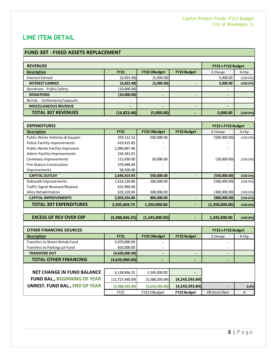## <span id="page-7-0"></span>**LINE ITEM DETAIL**

#### **FUND 307 - FIXED ASSETS REPLACEMENT**

| <b>REVENUES</b>               | FY23 v FY22 Budget       |                          |                          |                          |             |
|-------------------------------|--------------------------|--------------------------|--------------------------|--------------------------|-------------|
| <b>Description</b>            | <b>FY21</b>              | <b>FY22 OBudget</b>      | <b>FY23 Budget</b>       | \$ Change                | % Chq       |
| <b>Interest Earned</b>        | (6,823.48)               | (5,000.00)               |                          | 5,000.00                 | $(100.0\%)$ |
| <b>INTEREST EARNED</b>        | (6,823.48)               | (5,000.00)               |                          | 5,000.00                 | $(100.0\%)$ |
| Donations - Public Safety     | (10,000.00)              | $\overline{\phantom{0}}$ |                          | ۰                        |             |
| <b>DONATIONS</b>              | (10,000.00)              | -                        |                          | $\overline{\phantom{0}}$ |             |
| Reimb. - Settlements/Lawsuits | $\overline{\phantom{0}}$ | $\overline{a}$           |                          | $\overline{\phantom{0}}$ |             |
| <b>MISCELLANEOUS REVENUE</b>  | $\overline{\phantom{0}}$ |                          | $\overline{\phantom{0}}$ | $\overline{\phantom{a}}$ |             |
| <b>TOTAL 307 REVENUES</b>     | (16,823.48)              | (5,000.00)               |                          | 5,000.00                 | $(100.0\%)$ |

| <b>EXPENDITURES</b>                 | FY23 v FY22 Budget |                     |                    |                |             |
|-------------------------------------|--------------------|---------------------|--------------------|----------------|-------------|
| <b>Description</b>                  | <b>FY21</b>        | <b>FY22 OBudget</b> | <b>FY23 Budget</b> | \$ Change      | $%$ Cha     |
| Public Works Vehicles & Equipm      | 359,112.15         | 500,000.00          |                    | (500,000.00)   | $(100.0\%)$ |
| <b>Police Facility Improvements</b> | 419,415.83         |                     |                    |                |             |
| Public Works Facility Improvem      | 1,090,067.46       |                     |                    |                |             |
| <b>Admin Facility Improvements</b>  | 224,341.01         |                     |                    |                |             |
| Cemetary Improvements               | 115,030.00         | 50,000.00           |                    | (50,000.00)    | $(100.0\%)$ |
| <b>Fire Station Construction</b>    | 379,948.48         |                     |                    |                |             |
| Improvements                        | 58,500.00          |                     |                    |                |             |
| <b>CAPITAL OUTLAY</b>               | 2,646,414.93       | 550,000.00          |                    | (550,000.00)   | (100.0%)    |
| Sidewalk Improvements               | 1,614,139.86       | 500,000.00          |                    | (500,000.00)   | $(100.0\%)$ |
| Traffic Signal Renewal/Replace      | 625,994.90         |                     |                    |                |             |
| Alley Rehabilitation                | 619,120.04         | 300,000.00          |                    | (300,000.00)   | $(100.0\%)$ |
| <b>CAPITAL IMPROVEMENTS</b>         | 2,859,254.80       | 800,000.00          |                    | (800,000.00)   | $(100.0\%)$ |
| <b>TOTAL 307 EXPENDITURES</b>       | 5,505,669.73       | 1,350,000.00        |                    | (1,350,000.00) | (100.0%)    |

| <b>EXCESS OF REV OVER EXP</b> |  | $(5,488,846.25)$ $(1,345,000.00)$ |  | 1,345,000.00 | $(100.0\%)$ |
|-------------------------------|--|-----------------------------------|--|--------------|-------------|
|-------------------------------|--|-----------------------------------|--|--------------|-------------|

| <b>OTHER FINANCING SOURCES</b>        | FY23 v FY22 Budget |                     |                    |                |         |
|---------------------------------------|--------------------|---------------------|--------------------|----------------|---------|
| <b>Description</b>                    | <b>FY21</b>        | <b>FY22 OBudget</b> | <b>FY23 Budget</b> | \$ Change      | $%$ Chq |
| Transfers to Street Rehab Fund        | 3,970,000.00       |                     |                    |                |         |
| Transfers to Parking Lot Fund         | 650,000.00         |                     |                    |                |         |
| <b>TRANSFERS OUT</b>                  | (4,620,000.00)     |                     |                    |                |         |
| <b>TOTAL OTHER FINANCING</b>          | (4,620,000.00)     |                     |                    |                |         |
|                                       |                    |                     |                    |                |         |
| <b>NET CHANGE IN FUND BALANCE</b>     | 6,138,846.25       | 1,345,000.00        |                    |                |         |
| <b>FUND BAL., BEGINNING OF YEAR</b>   | (11, 727, 440.09)  | (5,588,593.84)      | (4, 243, 593.84)   |                |         |
| <b>UNREST. FUND BAL., END OF YEAR</b> | (5,588,593.84)     | (4, 243, 593.84)    | (4, 243, 593.84)   |                | 0.0%    |
|                                       | FY21               | FY22 OBudaet        | <b>FY23 Budaet</b> | FB (Incr) Decr | %       |